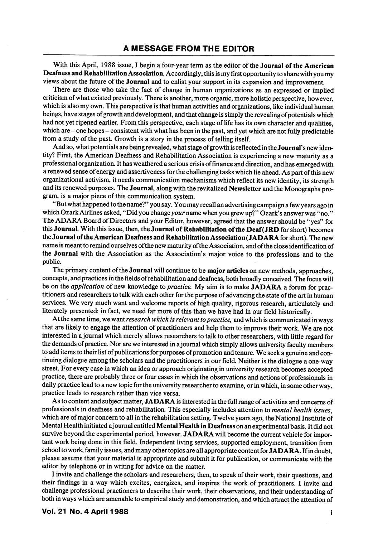With this April, 1988 issue, I begin a four-year term as the editor of the Journal of the American Deafness and Rehabilitation Association. Accordingly, this is my first opportunity to share with you my views about the future of the Journal and to enlist your support in its expansion and improvement.

There are those who take the fact of change in human organizations as an expressed or implied criticism of what existed previously. There is another, more organic, more holistic perspective, however, which is also my own. This perspective is that human activities and organizations, like individual human beings, have stages of growth and development, and that change is simply the revealing of potentials which had not yet ripened earlier. From this perspective, each stage of life has its own character and qualities, which are - one hopes - consistent with what has been in the past, and yet which are not fully predictable from a study of the past. Growth is a story in the process of telling itself.

And so, what potentials are being revealed, what stage of growth is reflected in the Journal's new identity? First, the American Deafness and Rehabilitation Association is experiencing a new maturity as a professional organization. It has weathered a serious crisis of finance and direction, and has emerged with a renewed sense of energy and assertiveness for the challenging tasks which lie ahead. As part of this new organizational activism, it needs communication mechanisms which reflect its new identity, its strength and its renewed purposes. The Journal, along with the revitalized Newsletter and the Monographs pro gram, is a major piece of this communication system.

"But what happened to the name?" you say. You may recall an advertising campaign a few years ago in which Ozark Airlines asked, "Did you change your name when you grew up?" Ozark's answer was "no." The ADARA Board of Directors and your Editor, however, agreed that the answer should be "yes" for this Journal. With this issue, then, the Journal of Rehabilitation of the Deaf(JRD for short) becomes the Journal of the American Deafness and Rehabilitation Association (JADARA for short). The new name is meant to remind ourselves of the new maturity of the Association, and of the close identification of the Journal with the Association as the Association's major voice to the professions and to the public.

The primary content of the Journal will continue to be major articles on new methods, approaches, concepts, and practices in the fields of rehabilitation and deafness, both broadly conceived. The focus will be on the *application* of new knowledge to *practice*. My aim is to make JADARA a forum for practitioners and researchers to talk with each other for the purpose of advancing the state of the art in human services. We very much want and welcome reports of high quality, rigorous research, articulately and literately presented; in fact, we need far more of this than we have had in our field historically.

At the same time, we want research which is relevant to practice, and which is communicated in ways that are likely to engage the attention of practitioners and help them to improve their work. We are not interested in a journal which merely allows researchers to talk to other researchers, with little regard for the demands of practice. Nor are we interested in a journal which simply allows university faculty members to add items to their list of publications for purposes of promotion and tenure. We seek a genuine and con tinuing dialogue among the scholars and the practitioners in our field. Neither is the dialogue a one-way street. For every case in which an idea or approach originating in university research becomes accepted practice, there are probably three or four cases in which the observations and actions of professionals in daily practice lead to a new topic for the university researcher to examine, or in which, in some other way, practice leads to research rather than vice versa.

As to content and subject matter, JADARA is interested in the full range of activities and concerns of professionals in deafness and rehabilitation. This especially includes attention to mental health issues, which are of major concern to all in the rehabilitation setting. Twelve years ago, the National Institute of Mental Health initiated a journal entitled Mental Health in Deafness on an experimental basis. It did not survive beyond the experimental period, however. JADARA will become the current vehicle for important work being done in this field. Independent living services, supported employment, transition from school to work, family issues, and many other topics are all appropriate content for JADARA. If in doubt, please assume that your material is appropriate and submit it for publication, or communicate with the editor by telephone or in writing for advice on the matter.

I invite and challenge the scholars and researchers, then, to speak of their work, their questions, and their findings in a way which excites, energizes, and inspires the work of practitioners. I invite and challenge professional practioners to describe their work, their observations, and their understanding of both in ways which are amenable to empirical study and demonstration, and which attract the attention of